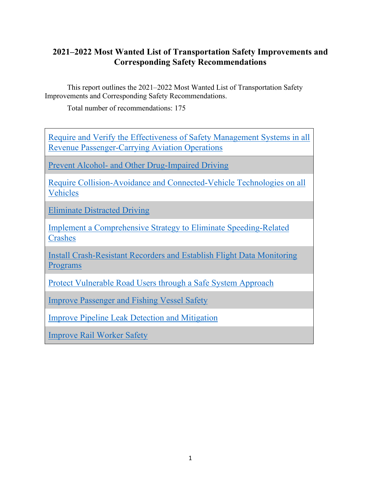## <span id="page-0-0"></span>**2021–2022 Most Wanted List of Transportation Safety Improvements and Corresponding Safety Recommendations**

This report outlines the 2021–2022 Most Wanted List of Transportation Safety Improvements and Corresponding Safety Recommendations.

Total number of recommendations: 175

[Require and Verify the Effectiveness of Safety Management Systems in all](#page-1-0)  [Revenue Passenger-Carrying Aviation Operations](#page-1-0)

Prevent Alcohol- [and Other Drug-Impaired Driving](#page-2-0)

[Require Collision-Avoidance and Connected-Vehicle Technologies on all](#page-2-1)  [Vehicles](#page-2-1)

[Eliminate Distracted Driving](#page-4-0)

[Implement a Comprehensive Strategy to Eliminate](#page-5-0) Speeding-Related **[Crashes](#page-5-0)** 

[Install Crash-Resistant Recorders and Establish Flight Data Monitoring](#page-7-0)  [Programs](#page-7-0)

[Protect Vulnerable Road Users through a Safe System Approach](#page-9-0)

[Improve Passenger and Fishing Vessel Safety](#page-13-0)

[Improve Pipeline Leak Detection and Mitigation](#page-16-0)

Improve [Rail Worker Safety](#page-18-0)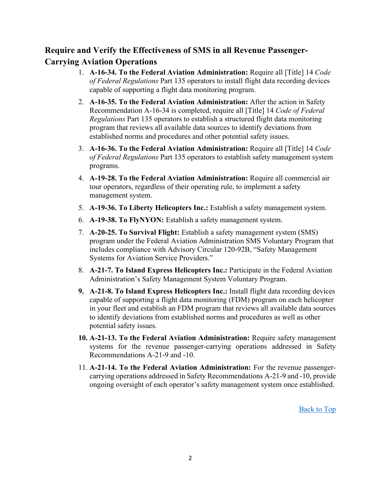# <span id="page-1-0"></span>**Require and Verify the Effectiveness of SMS in all Revenue Passenger-Carrying Aviation Operations**

- 1. **A-16-34. To the Federal Aviation Administration:** Require all [Title] 14 *Code of Federal Regulations* Part 135 operators to install flight data recording devices capable of supporting a flight data monitoring program.
- 2. **A-16-35. To the Federal Aviation Administration:** After the action in Safety Recommendation A-16-34 is completed, require all [Title] 14 *Code of Federal Regulations* Part 135 operators to establish a structured flight data monitoring program that reviews all available data sources to identify deviations from established norms and procedures and other potential safety issues.
- 3. **A-16-36. To the Federal Aviation Administration:** Require all [Title] 14 *Code of Federal Regulations* Part 135 operators to establish safety management system programs.
- 4. **A-19-28. To the Federal Aviation Administration:** Require all commercial air tour operators, regardless of their operating rule, to implement a safety management system.
- 5. **A-19-36. To Liberty Helicopters Inc.:** Establish a safety management system.
- 6. **A-19-38. To FlyNYON:** Establish a safety management system.
- 7. **A-20-25. To Survival Flight:** Establish a safety management system (SMS) program under the Federal Aviation Administration SMS Voluntary Program that includes compliance with Advisory Circular 120-92B, "Safety Management Systems for Aviation Service Providers."
- 8. **A-21-7. To Island Express Helicopters Inc.:** Participate in the Federal Aviation Administration's Safety Management System Voluntary Program.
- **9. A-21-8. To Island Express Helicopters Inc.:** Install flight data recording devices capable of supporting a flight data monitoring (FDM) program on each helicopter in your fleet and establish an FDM program that reviews all available data sources to identify deviations from established norms and procedures as well as other potential safety issues.
- **10. A-21-13. To the Federal Aviation Administration:** Require safety management systems for the revenue passenger-carrying operations addressed in Safety Recommendations A-21-9 and -10.
- 11. **A-21-14. To the Federal Aviation Administration:** For the revenue passengercarrying operations addressed in Safety Recommendations A-21-9 and -10, provide ongoing oversight of each operator's safety management system once established.

[Back to Top](#page-0-0)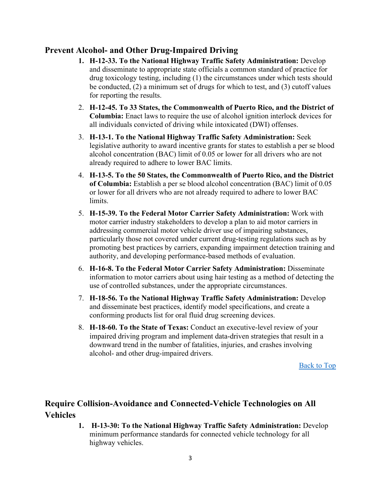## <span id="page-2-0"></span>**Prevent Alcohol- and Other Drug-Impaired Driving**

- **1. H-12-33. To the National Highway Traffic Safety Administration:** Develop and disseminate to appropriate state officials a common standard of practice for drug toxicology testing, including (1) the circumstances under which tests should be conducted, (2) a minimum set of drugs for which to test, and (3) cutoff values for reporting the results.
- 2. **H-12-45. To 33 States, the Commonwealth of Puerto Rico, and the District of Columbia:** Enact laws to require the use of alcohol ignition interlock devices for all individuals convicted of driving while intoxicated (DWI) offenses.
- 3. **H-13-1. To the National Highway Traffic Safety Administration:** Seek legislative authority to award incentive grants for states to establish a per se blood alcohol concentration (BAC) limit of 0.05 or lower for all drivers who are not already required to adhere to lower BAC limits.
- 4. **H-13-5. To the 50 States, the Commonwealth of Puerto Rico, and the District of Columbia:** Establish a per se blood alcohol concentration (BAC) limit of 0.05 or lower for all drivers who are not already required to adhere to lower BAC limits.
- 5. **H-15-39. To the Federal Motor Carrier Safety Administration:** Work with motor carrier industry stakeholders to develop a plan to aid motor carriers in addressing commercial motor vehicle driver use of impairing substances, particularly those not covered under current drug-testing regulations such as by promoting best practices by carriers, expanding impairment detection training and authority, and developing performance-based methods of evaluation.
- 6. **H-16-8. To the Federal Motor Carrier Safety Administration:** Disseminate information to motor carriers about using hair testing as a method of detecting the use of controlled substances, under the appropriate circumstances.
- 7. **H-18-56. To the National Highway Traffic Safety Administration:** Develop and disseminate best practices, identify model specifications, and create a conforming products list for oral fluid drug screening devices.
- 8. **H-18-60. To the State of Texas:** Conduct an executive-level review of your impaired driving program and implement data-driven strategies that result in a downward trend in the number of fatalities, injuries, and crashes involving alcohol- and other drug-impaired drivers.

[Back to Top](#page-0-0)

# <span id="page-2-1"></span>**Require Collision-Avoidance and Connected-Vehicle Technologies on All Vehicles**

**1. H-13-30: To the National Highway Traffic Safety Administration:** Develop minimum performance standards for connected vehicle technology for all highway vehicles.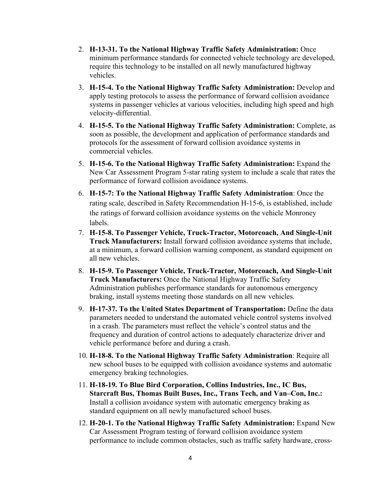- 2. **H-13-31. To the National Highway Traffic Safety Administration:** Once minimum performance standards for connected vehicle technology are developed, require this technology to be installed on all newly manufactured highway vehicles.
- 3. **H-15-4. To the National Highway Traffic Safety Administration:** Develop and apply testing protocols to assess the performance of forward collision avoidance systems in passenger vehicles at various velocities, including high speed and high velocity-differential.
- 4. **H-15-5. To the National Highway Traffic Safety Administration:** Complete, as soon as possible, the development and application of performance standards and protocols for the assessment of forward collision avoidance systems in commercial vehicles.
- 5. **H-15-6. To the National Highway Traffic Safety Administration:** Expand the New Car Assessment Program 5-star rating system to include a scale that rates the performance of forward collision avoidance systems.
- 6. **H-15-7: To the National Highway Traffic Safety Administration**: Once the rating scale, described in Safety Recommendation H-15-6, is established, include the ratings of forward collision avoidance systems on the vehicle Monroney labels.
- 7. **H-15-8. To Passenger Vehicle, Truck-Tractor, Motorcoach, And Single-Unit Truck Manufacturers:** Install forward collision avoidance systems that include, at a minimum, a forward collision warning component, as standard equipment on all new vehicles.
- 8. **H-15-9. To Passenger Vehicle, Truck-Tractor, Motorcoach, And Single-Unit Truck Manufacturers:** Once the National Highway Traffic Safety Administration publishes performance standards for autonomous emergency braking, install systems meeting those standards on all new vehicles.
- 9. **H-17-37. To the United States Department of Transportation:** Define the data parameters needed to understand the automated vehicle control systems involved in a crash. The parameters must reflect the vehicle's control status and the frequency and duration of control actions to adequately characterize driver and vehicle performance before and during a crash.
- 10. **H-18-8. To the National Highway Traffic Safety Administration**: Require all new school buses to be equipped with collision avoidance systems and automatic emergency braking technologies.
- 11. **H-18-19. To Blue Bird Corporation, Collins Industries, Inc., IC Bus, Starcraft Bus, Thomas Built Buses, Inc., Trans Tech, and Van–Con, Inc.:** Install a collision avoidance system with automatic emergency braking as standard equipment on all newly manufactured school buses.
- 12. **H-20-1. To the National Highway Traffic Safety Administration:** Expand New Car Assessment Program testing of forward collision avoidance system performance to include common obstacles, such as traffic safety hardware, cross-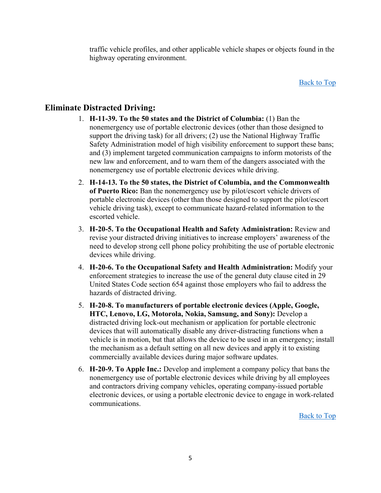traffic vehicle profiles, and other applicable vehicle shapes or objects found in the highway operating environment.

Back [to Top](#page-0-0)

## <span id="page-4-0"></span>**Eliminate Distracted Driving:**

- 1. **H-11-39. To the 50 states and the District of Columbia:** (1) Ban the nonemergency use of portable electronic devices (other than those designed to support the driving task) for all drivers; (2) use the National Highway Traffic Safety Administration model of high visibility enforcement to support these bans; and (3) implement targeted communication campaigns to inform motorists of the new law and enforcement, and to warn them of the dangers associated with the nonemergency use of portable electronic devices while driving.
- 2. **H-14-13. To the 50 states, the District of Columbia, and the Commonwealth of Puerto Rico:** Ban the nonemergency use by pilot/escort vehicle drivers of portable electronic devices (other than those designed to support the pilot/escort vehicle driving task), except to communicate hazard-related information to the escorted vehicle.
- 3. **H-20-5. To the Occupational Health and Safety Administration:** Review and revise your distracted driving initiatives to increase employers' awareness of the need to develop strong cell phone policy prohibiting the use of portable electronic devices while driving.
- 4. **H-20-6. To the Occupational Safety and Health Administration:** Modify your enforcement strategies to increase the use of the general duty clause cited in 29 United States Code section 654 against those employers who fail to address the hazards of distracted driving.
- 5. **H-20-8. To manufacturers of portable electronic devices (Apple, Google, HTC, Lenovo, LG, Motorola, Nokia, Samsung, and Sony):** Develop a distracted driving lock-out mechanism or application for portable electronic devices that will automatically disable any driver-distracting functions when a vehicle is in motion, but that allows the device to be used in an emergency; install the mechanism as a default setting on all new devices and apply it to existing commercially available devices during major software updates.
- 6. **H-20-9. To Apple Inc.:** Develop and implement a company policy that bans the nonemergency use of portable electronic devices while driving by all employees and contractors driving company vehicles, operating company-issued portable electronic devices, or using a portable electronic device to engage in work-related communications.

[Back to Top](#page-0-0)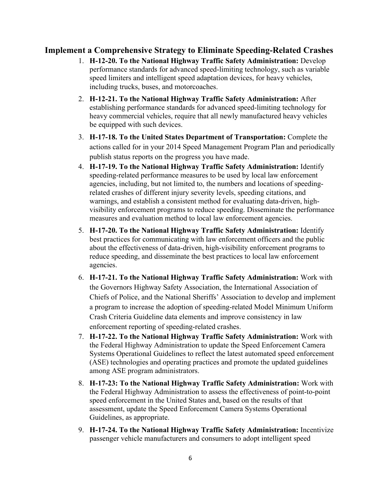## <span id="page-5-0"></span>**Implement a Comprehensive Strategy to Eliminate Speeding-Related Crashes**

- 1. **H-12-20. To the National Highway Traffic Safety Administration:** Develop performance standards for advanced speed-limiting technology, such as variable speed limiters and intelligent speed adaptation devices, for heavy vehicles, including trucks, buses, and motorcoaches.
- 2. **H-12-21. To the National Highway Traffic Safety Administration:** After establishing performance standards for advanced speed-limiting technology for heavy commercial vehicles, require that all newly manufactured heavy vehicles be equipped with such devices.
- 3. **H-17-18. To the United States Department of Transportation:** Complete the actions called for in your 2014 Speed Management Program Plan and periodically publish status reports on the progress you have made.
- 4. **H-17-19. To the National Highway Traffic Safety Administration:** Identify speeding-related performance measures to be used by local law enforcement agencies, including, but not limited to, the numbers and locations of speedingrelated crashes of different injury severity levels, speeding citations, and warnings, and establish a consistent method for evaluating data-driven, highvisibility enforcement programs to reduce speeding. Disseminate the performance measures and evaluation method to local law enforcement agencies.
- 5. **H-17-20. To the National Highway Traffic Safety Administration:** Identify best practices for communicating with law enforcement officers and the public about the effectiveness of data-driven, high-visibility enforcement programs to reduce speeding, and disseminate the best practices to local law enforcement agencies.
- 6. **H-17-21. To the National Highway Traffic Safety Administration:** Work with the Governors Highway Safety Association, the International Association of Chiefs of Police, and the National Sheriffs' Association to develop and implement a program to increase the adoption of speeding-related Model Minimum Uniform Crash Criteria Guideline data elements and improve consistency in law enforcement reporting of speeding-related crashes.
- 7. **H-17-22. To the National Highway Traffic Safety Administration:** Work with the Federal Highway Administration to update the Speed Enforcement Camera Systems Operational Guidelines to reflect the latest automated speed enforcement (ASE) technologies and operating practices and promote the updated guidelines among ASE program administrators.
- 8. **H-17-23: To the National Highway Traffic Safety Administration:** Work with the Federal Highway Administration to assess the effectiveness of point-to-point speed enforcement in the United States and, based on the results of that assessment, update the Speed Enforcement Camera Systems Operational Guidelines, as appropriate.
- 9. **H-17-24. To the National Highway Traffic Safety Administration:** Incentivize passenger vehicle manufacturers and consumers to adopt intelligent speed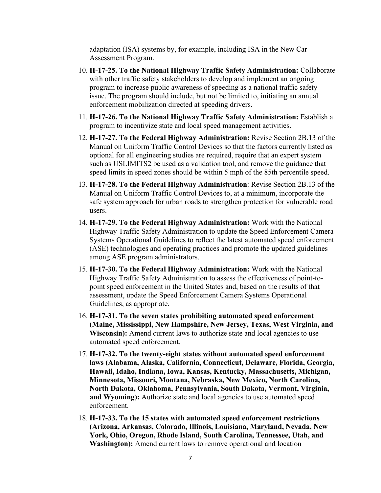adaptation (ISA) systems by, for example, including ISA in the New Car Assessment Program.

- 10. **H-17-25. To the National Highway Traffic Safety Administration:** Collaborate with other traffic safety stakeholders to develop and implement an ongoing program to increase public awareness of speeding as a national traffic safety issue. The program should include, but not be limited to, initiating an annual enforcement mobilization directed at speeding drivers.
- 11. **H-17-26. To the National Highway Traffic Safety Administration:** Establish a program to incentivize state and local speed management activities.
- 12. **H-17-27. To the Federal Highway Administration:** Revise Section 2B.13 of the Manual on Uniform Traffic Control Devices so that the factors currently listed as optional for all engineering studies are required, require that an expert system such as USLIMITS2 be used as a validation tool, and remove the guidance that speed limits in speed zones should be within 5 mph of the 85th percentile speed.
- 13. **H-17-28. To the Federal Highway Administration**: Revise Section 2B.13 of the Manual on Uniform Traffic Control Devices to, at a minimum, incorporate the safe system approach for urban roads to strengthen protection for vulnerable road users.
- 14. **H-17-29. To the Federal Highway Administration:** Work with the National Highway Traffic Safety Administration to update the Speed Enforcement Camera Systems Operational Guidelines to reflect the latest automated speed enforcement (ASE) technologies and operating practices and promote the updated guidelines among ASE program administrators.
- 15. **H-17-30. To the Federal Highway Administration:** Work with the National Highway Traffic Safety Administration to assess the effectiveness of point-topoint speed enforcement in the United States and, based on the results of that assessment, update the Speed Enforcement Camera Systems Operational Guidelines, as appropriate.
- 16. **H-17-31. To the seven states prohibiting automated speed enforcement (Maine, Mississippi, New Hampshire, New Jersey, Texas, West Virginia, and Wisconsin):** Amend current laws to authorize state and local agencies to use automated speed enforcement.
- 17. **H-17-32. To the twenty-eight states without automated speed enforcement laws (Alabama, Alaska, California, Connecticut, Delaware, Florida, Georgia, Hawaii, Idaho, Indiana, Iowa, Kansas, Kentucky, Massachusetts, Michigan, Minnesota, Missouri, Montana, Nebraska, New Mexico, North Carolina, North Dakota, Oklahoma, Pennsylvania, South Dakota, Vermont, Virginia, and Wyoming):** Authorize state and local agencies to use automated speed enforcement.
- 18. **H-17-33. To the 15 states with automated speed enforcement restrictions (Arizona, Arkansas, Colorado, Illinois, Louisiana, Maryland, Nevada, New York, Ohio, Oregon, Rhode Island, South Carolina, Tennessee, Utah, and Washington):** Amend current laws to remove operational and location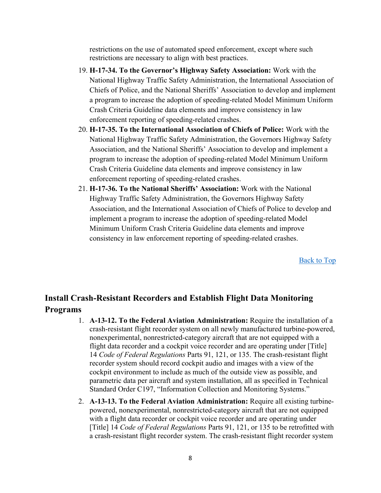restrictions on the use of automated speed enforcement, except where such restrictions are necessary to align with best practices.

- 19. **H-17-34. To the Governor's Highway Safety Association:** Work with the National Highway Traffic Safety Administration, the International Association of Chiefs of Police, and the National Sheriffs' Association to develop and implement a program to increase the adoption of speeding-related Model Minimum Uniform Crash Criteria Guideline data elements and improve consistency in law enforcement reporting of speeding-related crashes.
- 20. **H-17-35. To the International Association of Chiefs of Police:** Work with the National Highway Traffic Safety Administration, the Governors Highway Safety Association, and the National Sheriffs' Association to develop and implement a program to increase the adoption of speeding-related Model Minimum Uniform Crash Criteria Guideline data elements and improve consistency in law enforcement reporting of speeding-related crashes.
- 21. **H-17-36. To the National Sheriffs' Association:** Work with the National Highway Traffic Safety Administration, the Governors Highway Safety Association, and the International Association of Chiefs of Police to develop and implement a program to increase the adoption of speeding-related Model Minimum Uniform Crash Criteria Guideline data elements and improve consistency in law enforcement reporting of speeding-related crashes.

[Back to Top](#page-0-0)

## <span id="page-7-0"></span>**Install Crash-Resistant Recorders and Establish Flight Data Monitoring Programs**

- 1. **A-13-12. To the Federal Aviation Administration:** Require the installation of a crash-resistant flight recorder system on all newly manufactured turbine-powered, nonexperimental, nonrestricted-category aircraft that are not equipped with a flight data recorder and a cockpit voice recorder and are operating under [Title] 14 *Code of Federal Regulations* Parts 91, 121, or 135. The crash-resistant flight recorder system should record cockpit audio and images with a view of the cockpit environment to include as much of the outside view as possible, and parametric data per aircraft and system installation, all as specified in Technical Standard Order C197, "Information Collection and Monitoring Systems."
- 2. **A-13-13. To the Federal Aviation Administration:** Require all existing turbinepowered, nonexperimental, nonrestricted-category aircraft that are not equipped with a flight data recorder or cockpit voice recorder and are operating under [Title] 14 *Code of Federal Regulations* Parts 91, 121, or 135 to be retrofitted with a crash-resistant flight recorder system. The crash-resistant flight recorder system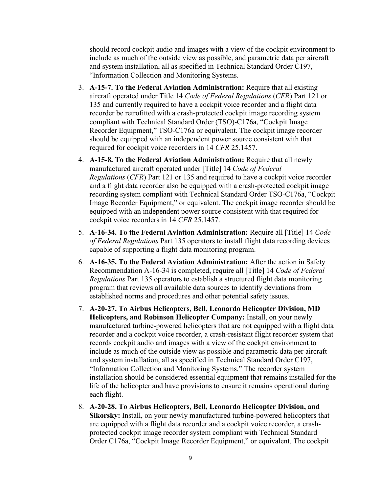should record cockpit audio and images with a view of the cockpit environment to include as much of the outside view as possible, and parametric data per aircraft and system installation, all as specified in Technical Standard Order C197, "Information Collection and Monitoring Systems.

- 3. **A-15-7. To the Federal Aviation Administration:** Require that all existing aircraft operated under Title 14 *Code of Federal Regulations* (*CFR*) Part 121 or 135 and currently required to have a cockpit voice recorder and a flight data recorder be retrofitted with a crash-protected cockpit image recording system compliant with Technical Standard Order (TSO)-C176a, "Cockpit Image Recorder Equipment," TSO-C176a or equivalent. The cockpit image recorder should be equipped with an independent power source consistent with that required for cockpit voice recorders in 14 *CFR* 25.1457.
- 4. **A-15-8. To the Federal Aviation Administration:** Require that all newly manufactured aircraft operated under [Title] 14 *Code of Federal Regulations* (*CFR*) Part 121 or 135 and required to have a cockpit voice recorder and a flight data recorder also be equipped with a crash-protected cockpit image recording system compliant with Technical Standard Order TSO-C176a, "Cockpit Image Recorder Equipment," or equivalent. The cockpit image recorder should be equipped with an independent power source consistent with that required for cockpit voice recorders in 14 *CFR* 25.1457.
- 5. **A-16-34. To the Federal Aviation Administration:** Require all [Title] 14 *Code of Federal Regulations* Part 135 operators to install flight data recording devices capable of supporting a flight data monitoring program.
- 6. **A-16-35. To the Federal Aviation Administration:** After the action in Safety Recommendation A-16-34 is completed, require all [Title] 14 *Code of Federal Regulations* Part 135 operators to establish a structured flight data monitoring program that reviews all available data sources to identify deviations from established norms and procedures and other potential safety issues.
- 7. **A-20-27. To Airbus Helicopters, Bell, Leonardo Helicopter Division, MD Helicopters, and Robinson Helicopter Company:** Install, on your newly manufactured turbine-powered helicopters that are not equipped with a flight data recorder and a cockpit voice recorder, a crash-resistant flight recorder system that records cockpit audio and images with a view of the cockpit environment to include as much of the outside view as possible and parametric data per aircraft and system installation, all as specified in Technical Standard Order C197, "Information Collection and Monitoring Systems." The recorder system installation should be considered essential equipment that remains installed for the life of the helicopter and have provisions to ensure it remains operational during each flight.
- 8. **A-20-28. To Airbus Helicopters, Bell, Leonardo Helicopter Division, and Sikorsky:** Install, on your newly manufactured turbine-powered helicopters that are equipped with a flight data recorder and a cockpit voice recorder, a crashprotected cockpit image recorder system compliant with Technical Standard Order C176a, "Cockpit Image Recorder Equipment," or equivalent. The cockpit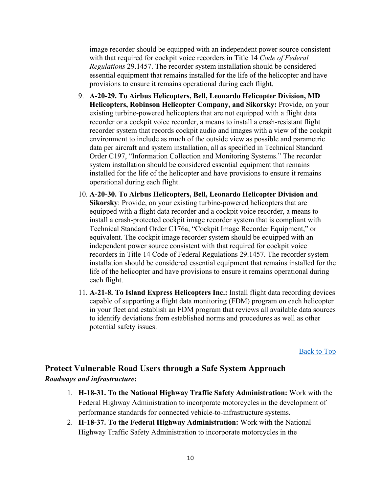image recorder should be equipped with an independent power source consistent with that required for cockpit voice recorders in Title 14 *Code of Federal Regulations* 29.1457. The recorder system installation should be considered essential equipment that remains installed for the life of the helicopter and have provisions to ensure it remains operational during each flight.

- 9. **A-20-29. To Airbus Helicopters, Bell, Leonardo Helicopter Division, MD Helicopters, Robinson Helicopter Company, and Sikorsky:** Provide, on your existing turbine-powered helicopters that are not equipped with a flight data recorder or a cockpit voice recorder, a means to install a crash-resistant flight recorder system that records cockpit audio and images with a view of the cockpit environment to include as much of the outside view as possible and parametric data per aircraft and system installation, all as specified in Technical Standard Order C197, "Information Collection and Monitoring Systems." The recorder system installation should be considered essential equipment that remains installed for the life of the helicopter and have provisions to ensure it remains operational during each flight.
- 10. **A-20-30. To Airbus Helicopters, Bell, Leonardo Helicopter Division and Sikorsky**: Provide, on your existing turbine-powered helicopters that are equipped with a flight data recorder and a cockpit voice recorder, a means to install a crash-protected cockpit image recorder system that is compliant with Technical Standard Order C176a, "Cockpit Image Recorder Equipment," or equivalent. The cockpit image recorder system should be equipped with an independent power source consistent with that required for cockpit voice recorders in Title 14 Code of Federal Regulations 29.1457. The recorder system installation should be considered essential equipment that remains installed for the life of the helicopter and have provisions to ensure it remains operational during each flight.
- 11. **A-21-8. To Island Express Helicopters Inc.:** Install flight data recording devices capable of supporting a flight data monitoring (FDM) program on each helicopter in your fleet and establish an FDM program that reviews all available data sources to identify deviations from established norms and procedures as well as other potential safety issues.

[Back to Top](#page-0-0)

## <span id="page-9-0"></span>**Protect Vulnerable Road Users through a Safe System Approach** *Roadways and infrastructure***:**

- 1. **H-18-31. To the National Highway Traffic Safety Administration:** Work with the Federal Highway Administration to incorporate motorcycles in the development of performance standards for connected vehicle-to-infrastructure systems.
- 2. **H-18-37. To the Federal Highway Administration:** Work with the National Highway Traffic Safety Administration to incorporate motorcycles in the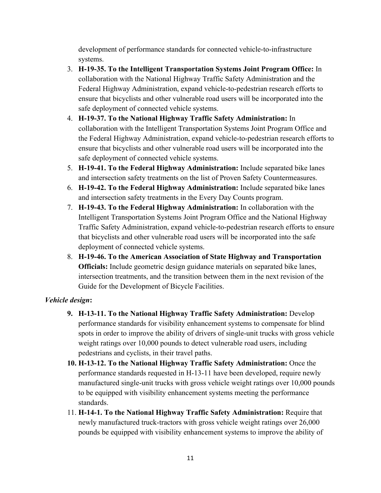development of performance standards for connected vehicle-to-infrastructure systems.

- 3. **H-19-35. To the Intelligent Transportation Systems Joint Program Office:** In collaboration with the National Highway Traffic Safety Administration and the Federal Highway Administration, expand vehicle-to-pedestrian research efforts to ensure that bicyclists and other vulnerable road users will be incorporated into the safe deployment of connected vehicle systems.
- 4. **H-19-37. To the National Highway Traffic Safety Administration:** In collaboration with the Intelligent Transportation Systems Joint Program Office and the Federal Highway Administration, expand vehicle-to-pedestrian research efforts to ensure that bicyclists and other vulnerable road users will be incorporated into the safe deployment of connected vehicle systems.
- 5. **H-19-41. To the Federal Highway Administration:** Include separated bike lanes and intersection safety treatments on the list of Proven Safety Countermeasures.
- 6. **H-19-42. To the Federal Highway Administration:** Include separated bike lanes and intersection safety treatments in the Every Day Counts program.
- 7. **H-19-43. To the Federal Highway Administration:** In collaboration with the Intelligent Transportation Systems Joint Program Office and the National Highway Traffic Safety Administration, expand vehicle-to-pedestrian research efforts to ensure that bicyclists and other vulnerable road users will be incorporated into the safe deployment of connected vehicle systems.
- 8. **H-19-46. To the American Association of State Highway and Transportation Officials:** Include geometric design guidance materials on separated bike lanes, intersection treatments, and the transition between them in the next revision of the Guide for the Development of Bicycle Facilities.

#### *Vehicle design***:**

- **9. H-13-11. To the National Highway Traffic Safety Administration:** Develop performance standards for visibility enhancement systems to compensate for blind spots in order to improve the ability of drivers of single-unit trucks with gross vehicle weight ratings over 10,000 pounds to detect vulnerable road users, including pedestrians and cyclists, in their travel paths.
- **10. H-13-12. To the National Highway Traffic Safety Administration:** Once the performance standards requested in H-13-11 have been developed, require newly manufactured single-unit trucks with gross vehicle weight ratings over 10,000 pounds to be equipped with visibility enhancement systems meeting the performance standards.
- 11. **H-14-1. To the National Highway Traffic Safety Administration:** Require that newly manufactured truck-tractors with gross vehicle weight ratings over 26,000 pounds be equipped with visibility enhancement systems to improve the ability of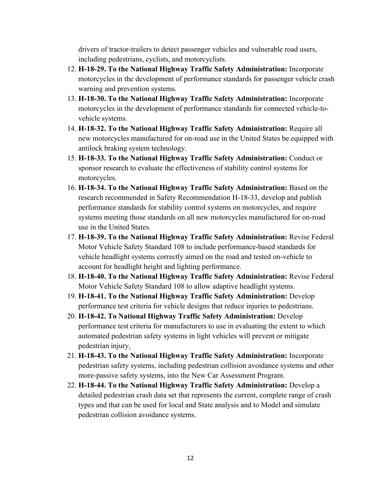drivers of tractor-trailers to detect passenger vehicles and vulnerable road users, including pedestrians, cyclists, and motorcyclists.

- 12. **H-18-29. To the National Highway Traffic Safety Administration:** Incorporate motorcycles in the development of performance standards for passenger vehicle crash warning and prevention systems.
- 13. **H-18-30. To the National Highway Traffic Safety Administration:** Incorporate motorcycles in the development of performance standards for connected vehicle-tovehicle systems.
- 14. **H-18-32. To the National Highway Traffic Safety Administration:** Require all new motorcycles manufactured for on-road use in the United States be equipped with antilock braking system technology.
- 15. **H-18-33. To the National Highway Traffic Safety Administration:** Conduct or sponsor research to evaluate the effectiveness of stability control systems for motorcycles.
- 16. **H-18-34. To the National Highway Traffic Safety Administration:** Based on the research recommended in Safety Recommendation H-18-33, develop and publish performance standards for stability control systems on motorcycles, and require systems meeting those standards on all new motorcycles manufactured for on-road use in the United States.
- 17. **H-18-39. To the National Highway Traffic Safety Administration:** Revise Federal Motor Vehicle Safety Standard 108 to include performance-based standards for vehicle headlight systems correctly aimed on the road and tested on-vehicle to account for headlight height and lighting performance.
- 18. **H-18-40. To the National Highway Traffic Safety Administration:** Revise Federal Motor Vehicle Safety Standard 108 to allow adaptive headlight systems.
- 19. **H-18-41. To the National Highway Traffic Safety Administration:** Develop performance test criteria for vehicle designs that reduce injuries to pedestrians.
- 20. **H-18-42. To National Highway Traffic Safety Administration:** Develop performance test criteria for manufacturers to use in evaluating the extent to which automated pedestrian safety systems in light vehicles will prevent or mitigate pedestrian injury.
- 21. **H-18-43. To the National Highway Traffic Safety Administration:** Incorporate pedestrian safety systems, including pedestrian collision avoidance systems and other more-passive safety systems, into the New Car Assessment Program.
- 22. **H-18-44. To the National Highway Traffic Safety Administration:** Develop a detailed pedestrian crash data set that represents the current, complete range of crash types and that can be used for local and State analysis and to Model and simulate pedestrian collision avoidance systems.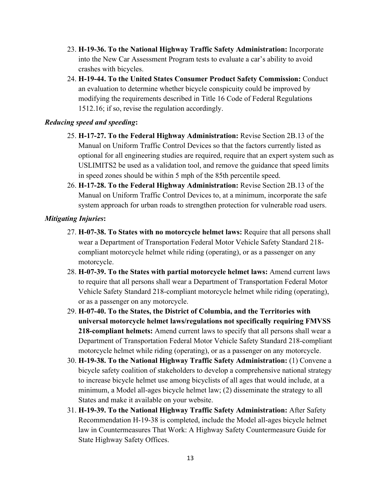- 23. **H-19-36. To the National Highway Traffic Safety Administration:** Incorporate into the New Car Assessment Program tests to evaluate a car's ability to avoid crashes with bicycles.
- 24. **H-19-44. To the United States Consumer Product Safety Commission:** Conduct an evaluation to determine whether bicycle conspicuity could be improved by modifying the requirements described in Title 16 Code of Federal Regulations 1512.16; if so, revise the regulation accordingly.

#### *Reducing speed and speeding***:**

- 25. **H-17-27. To the Federal Highway Administration:** Revise Section 2B.13 of the Manual on Uniform Traffic Control Devices so that the factors currently listed as optional for all engineering studies are required, require that an expert system such as USLIMITS2 be used as a validation tool, and remove the guidance that speed limits in speed zones should be within 5 mph of the 85th percentile speed.
- 26. **H-17-28. To the Federal Highway Administration:** Revise Section 2B.13 of the Manual on Uniform Traffic Control Devices to, at a minimum, incorporate the safe system approach for urban roads to strengthen protection for vulnerable road users.

#### *Mitigating Injuries***:**

- 27. **H-07-38. To States with no motorcycle helmet laws:** Require that all persons shall wear a Department of Transportation Federal Motor Vehicle Safety Standard 218 compliant motorcycle helmet while riding (operating), or as a passenger on any motorcycle.
- 28. **H-07-39. To the States with partial motorcycle helmet laws:** Amend current laws to require that all persons shall wear a Department of Transportation Federal Motor Vehicle Safety Standard 218-compliant motorcycle helmet while riding (operating), or as a passenger on any motorcycle.
- 29. **H-07-40. To the States, the District of Columbia, and the Territories with universal motorcycle helmet laws/regulations not specifically requiring FMVSS 218-compliant helmets:** Amend current laws to specify that all persons shall wear a Department of Transportation Federal Motor Vehicle Safety Standard 218-compliant motorcycle helmet while riding (operating), or as a passenger on any motorcycle.
- 30. **H-19-38. To the National Highway Traffic Safety Administration:** (1) Convene a bicycle safety coalition of stakeholders to develop a comprehensive national strategy to increase bicycle helmet use among bicyclists of all ages that would include, at a minimum, a Model all-ages bicycle helmet law; (2) disseminate the strategy to all States and make it available on your website.
- 31. **H-19-39. To the National Highway Traffic Safety Administration:** After Safety Recommendation H-19-38 is completed, include the Model all-ages bicycle helmet law in Countermeasures That Work: A Highway Safety Countermeasure Guide for State Highway Safety Offices.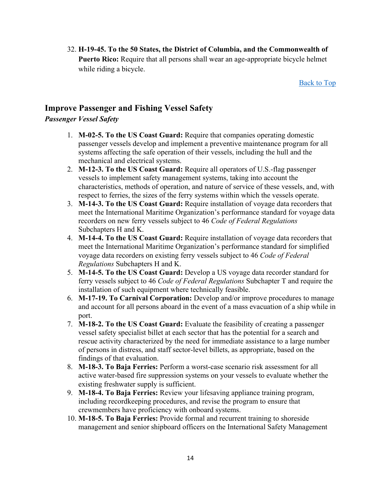32. **H-19-45. To the 50 States, the District of Columbia, and the Commonwealth of Puerto Rico:** Require that all persons shall wear an age-appropriate bicycle helmet while riding a bicycle.

[Back to Top](#page-0-0)

## <span id="page-13-0"></span>**Improve Passenger and Fishing Vessel Safety**

#### *Passenger Vessel Safety*

- 1. **M-02-5. To the US Coast Guard:** Require that companies operating domestic passenger vessels develop and implement a preventive maintenance program for all systems affecting the safe operation of their vessels, including the hull and the mechanical and electrical systems.
- 2. **M-12-3. To the US Coast Guard:** Require all operators of U.S.-flag passenger vessels to implement safety management systems, taking into account the characteristics, methods of operation, and nature of service of these vessels, and, with respect to ferries, the sizes of the ferry systems within which the vessels operate.
- 3. **M-14-3. To the US Coast Guard:** Require installation of voyage data recorders that meet the International Maritime Organization's performance standard for voyage data recorders on new ferry vessels subject to 46 *Code of Federal Regulations* Subchapters H and K.
- 4. **M-14-4. To the US Coast Guard:** Require installation of voyage data recorders that meet the International Maritime Organization's performance standard for simplified voyage data recorders on existing ferry vessels subject to 46 *Code of Federal Regulations* Subchapters H and K.
- 5. **M-14-5. To the US Coast Guard:** Develop a US voyage data recorder standard for ferry vessels subject to 46 *Code of Federal Regulations* Subchapter T and require the installation of such equipment where technically feasible.
- 6. **M-17-19. To Carnival Corporation:** Develop and/or improve procedures to manage and account for all persons aboard in the event of a mass evacuation of a ship while in port.
- 7. **M-18-2. To the US Coast Guard:** Evaluate the feasibility of creating a passenger vessel safety specialist billet at each sector that has the potential for a search and rescue activity characterized by the need for immediate assistance to a large number of persons in distress, and staff sector-level billets, as appropriate, based on the findings of that evaluation.
- 8. **M-18-3. To Baja Ferries:** Perform a worst-case scenario risk assessment for all active water-based fire suppression systems on your vessels to evaluate whether the existing freshwater supply is sufficient.
- 9. **M-18-4. To Baja Ferries:** Review your lifesaving appliance training program, including recordkeeping procedures, and revise the program to ensure that crewmembers have proficiency with onboard systems.
- 10. **M-18-5. To Baja Ferries:** Provide formal and recurrent training to shoreside management and senior shipboard officers on the International Safety Management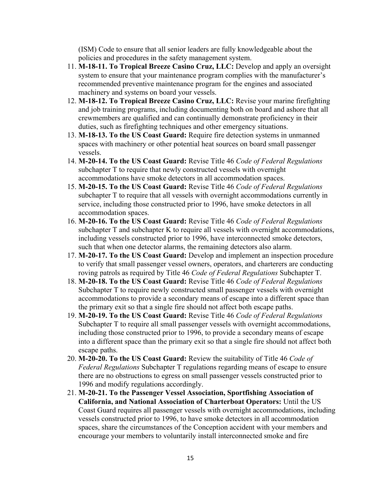(ISM) Code to ensure that all senior leaders are fully knowledgeable about the policies and procedures in the safety management system.

- 11. **M-18-11. To Tropical Breeze Casino Cruz, LLC:** Develop and apply an oversight system to ensure that your maintenance program complies with the manufacturer's recommended preventive maintenance program for the engines and associated machinery and systems on board your vessels.
- 12. **M-18-12. To Tropical Breeze Casino Cruz, LLC:** Revise your marine firefighting and job training programs, including documenting both on board and ashore that all crewmembers are qualified and can continually demonstrate proficiency in their duties, such as firefighting techniques and other emergency situations.
- 13. **M-18-13. To the US Coast Guard:** Require fire detection systems in unmanned spaces with machinery or other potential heat sources on board small passenger vessels.
- 14. **M-20-14. To the US Coast Guard:** Revise Title 46 *Code of Federal Regulations* subchapter T to require that newly constructed vessels with overnight accommodations have smoke detectors in all accommodation spaces.
- 15. **M-20-15. To the US Coast Guard:** Revise Title 46 *Code of Federal Regulations* subchapter T to require that all vessels with overnight accommodations currently in service, including those constructed prior to 1996, have smoke detectors in all accommodation spaces.
- 16. **M-20-16. To the US Coast Guard:** Revise Title 46 *Code of Federal Regulations* subchapter T and subchapter K to require all vessels with overnight accommodations, including vessels constructed prior to 1996, have interconnected smoke detectors, such that when one detector alarms, the remaining detectors also alarm.
- 17. **M-20-17. To the US Coast Guard:** Develop and implement an inspection procedure to verify that small passenger vessel owners, operators, and charterers are conducting roving patrols as required by Title 46 *Code of Federal Regulations* Subchapter T.
- 18. **M-20-18. To the US Coast Guard:** Revise Title 46 *Code of Federal Regulations*  Subchapter T to require newly constructed small passenger vessels with overnight accommodations to provide a secondary means of escape into a different space than the primary exit so that a single fire should not affect both escape paths.
- 19. **M-20-19. To the US Coast Guard:** Revise Title 46 *Code of Federal Regulations*  Subchapter T to require all small passenger vessels with overnight accommodations, including those constructed prior to 1996, to provide a secondary means of escape into a different space than the primary exit so that a single fire should not affect both escape paths.
- 20. **M-20-20. To the US Coast Guard:** Review the suitability of Title 46 *Code of Federal Regulations* Subchapter T regulations regarding means of escape to ensure there are no obstructions to egress on small passenger vessels constructed prior to 1996 and modify regulations accordingly.
- 21. **M-20-21. To the Passenger Vessel Association, Sportfishing Association of California, and National Association of Charterboat Operators:** Until the US Coast Guard requires all passenger vessels with overnight accommodations, including vessels constructed prior to 1996, to have smoke detectors in all accommodation spaces, share the circumstances of the Conception accident with your members and encourage your members to voluntarily install interconnected smoke and fire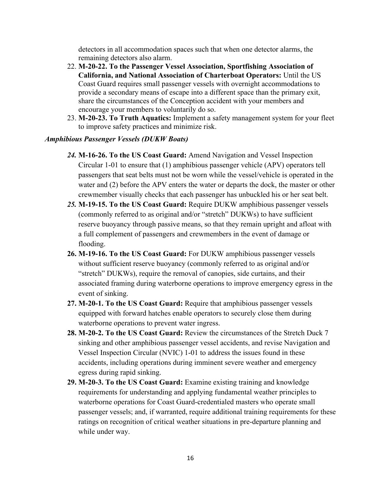detectors in all accommodation spaces such that when one detector alarms, the remaining detectors also alarm.

- 22. **M-20-22. To the Passenger Vessel Association, Sportfishing Association of California, and National Association of Charterboat Operators:** Until the US Coast Guard requires small passenger vessels with overnight accommodations to provide a secondary means of escape into a different space than the primary exit, share the circumstances of the Conception accident with your members and encourage your members to voluntarily do so.
- 23. **M-20-23. To Truth Aquatics:** Implement a safety management system for your fleet to improve safety practices and minimize risk.

#### *Amphibious Passenger Vessels (DUKW Boats)*

- *24.* **M-16-26. To the US Coast Guard:** Amend Navigation and Vessel Inspection Circular 1-01 to ensure that (1) amphibious passenger vehicle (APV) operators tell passengers that seat belts must not be worn while the vessel/vehicle is operated in the water and (2) before the APV enters the water or departs the dock, the master or other crewmember visually checks that each passenger has unbuckled his or her seat belt.
- *25.* **M-19-15. To the US Coast Guard:** Require DUKW amphibious passenger vessels (commonly referred to as original and/or "stretch" DUKWs) to have sufficient reserve buoyancy through passive means, so that they remain upright and afloat with a full complement of passengers and crewmembers in the event of damage or flooding.
- **26. M-19-16. To the US Coast Guard:** For DUKW amphibious passenger vessels without sufficient reserve buoyancy (commonly referred to as original and/or "stretch" DUKWs), require the removal of canopies, side curtains, and their associated framing during waterborne operations to improve emergency egress in the event of sinking.
- **27. M-20-1. To the US Coast Guard:** Require that amphibious passenger vessels equipped with forward hatches enable operators to securely close them during waterborne operations to prevent water ingress.
- **28. M-20-2. To the US Coast Guard:** Review the circumstances of the Stretch Duck 7 sinking and other amphibious passenger vessel accidents, and revise Navigation and Vessel Inspection Circular (NVIC) 1-01 to address the issues found in these accidents, including operations during imminent severe weather and emergency egress during rapid sinking.
- **29. M-20-3. To the US Coast Guard:** Examine existing training and knowledge requirements for understanding and applying fundamental weather principles to waterborne operations for Coast Guard-credentialed masters who operate small passenger vessels; and, if warranted, require additional training requirements for these ratings on recognition of critical weather situations in pre-departure planning and while under way.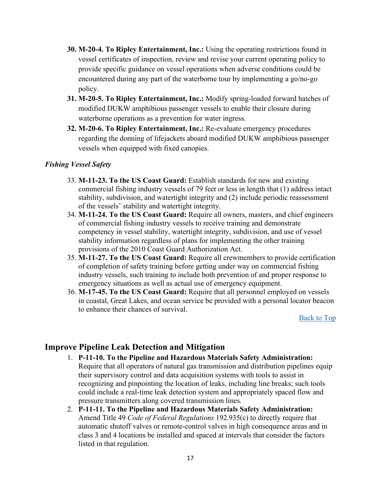- **30. M-20-4. To Ripley Entertainment, Inc.:** Using the operating restrictions found in vessel certificates of inspection, review and revise your current operating policy to provide specific guidance on vessel operations when adverse conditions could be encountered during any part of the waterborne tour by implementing a go/no-go policy.
- **31. M-20-5. To Ripley Entertainment, Inc.:** Modify spring-loaded forward hatches of modified DUKW amphibious passenger vessels to enable their closure during waterborne operations as a prevention for water ingress.
- **32. M-20-6. To Ripley Entertainment, Inc.:** Re-evaluate emergency procedures regarding the donning of lifejackets aboard modified DUKW amphibious passenger vessels when equipped with fixed canopies.

#### *Fishing Vessel Safety*

- 33. **M-11-23. To the US Coast Guard:** Establish standards for new and existing commercial fishing industry vessels of 79 feet or less in length that (1) address intact stability, subdivision, and watertight integrity and (2) include periodic reassessment of the vessels' stability and watertight integrity.
- 34. **M-11-24. To the US Coast Guard:** Require all owners, masters, and chief engineers of commercial fishing industry vessels to receive training and demonstrate competency in vessel stability, watertight integrity, subdivision, and use of vessel stability information regardless of plans for implementing the other training provisions of the 2010 Coast Guard Authorization Act.
- 35. **M-11-27. To the US Coast Guard:** Require all crewmembers to provide certification of completion of safety training before getting under way on commercial fishing industry vessels, such training to include both prevention of and proper response to emergency situations as well as actual use of emergency equipment.
- 36. **M-17-45. To the US Coast Guard:** Require that all personnel employed on vessels in coastal, Great Lakes, and ocean service be provided with a personal locator beacon to enhance their chances of survival.

[Back to Top](#page-0-0)

### <span id="page-16-0"></span>**Improve Pipeline Leak Detection and Mitigation**

- 1. **P-11-10. To the Pipeline and Hazardous Materials Safety Administration:**  Require that all operators of natural gas transmission and distribution pipelines equip their supervisory control and data acquisition systems with tools to assist in recognizing and pinpointing the location of leaks, including line breaks; such tools could include a real-time leak detection system and appropriately spaced flow and pressure transmitters along covered transmission lines.
- 2. **P-11-11. To the Pipeline and Hazardous Materials Safety Administration:** Amend Title 49 *Code of Federal Regulations* 192.935(c) to directly require that automatic shutoff valves or remote-control valves in high consequence areas and in class 3 and 4 locations be installed and spaced at intervals that consider the factors listed in that regulation.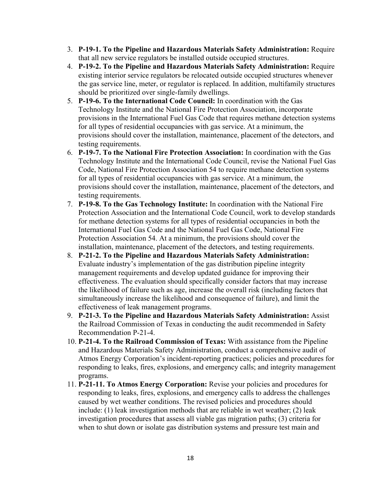- 3. **P-19-1. To the Pipeline and Hazardous Materials Safety Administration:** Require that all new service regulators be installed outside occupied structures.
- 4. **P-19-2. To the Pipeline and Hazardous Materials Safety Administration:** Require existing interior service regulators be relocated outside occupied structures whenever the gas service line, meter, or regulator is replaced. In addition, multifamily structures should be prioritized over single-family dwellings.
- 5. **P-19-6. To the International Code Council:** In coordination with the Gas Technology Institute and the National Fire Protection Association, incorporate provisions in the International Fuel Gas Code that requires methane detection systems for all types of residential occupancies with gas service. At a minimum, the provisions should cover the installation, maintenance, placement of the detectors, and testing requirements.
- 6. **P-19-7. To the National Fire Protection Association:** In coordination with the Gas Technology Institute and the International Code Council, revise the National Fuel Gas Code, National Fire Protection Association 54 to require methane detection systems for all types of residential occupancies with gas service. At a minimum, the provisions should cover the installation, maintenance, placement of the detectors, and testing requirements.
- 7. **P-19-8. To the Gas Technology Institute:** In coordination with the National Fire Protection Association and the International Code Council, work to develop standards for methane detection systems for all types of residential occupancies in both the International Fuel Gas Code and the National Fuel Gas Code, National Fire Protection Association 54. At a minimum, the provisions should cover the installation, maintenance, placement of the detectors, and testing requirements.
- 8. **P-21-2. To the Pipeline and Hazardous Materials Safety Administration:**  Evaluate industry's implementation of the gas distribution pipeline integrity management requirements and develop updated guidance for improving their effectiveness. The evaluation should specifically consider factors that may increase the likelihood of failure such as age, increase the overall risk (including factors that simultaneously increase the likelihood and consequence of failure), and limit the effectiveness of leak management programs.
- 9. **P-21-3. To the Pipeline and Hazardous Materials Safety Administration:** Assist the Railroad Commission of Texas in conducting the audit recommended in Safety Recommendation P-21-4.
- 10. **P-21-4. To the Railroad Commission of Texas:** With assistance from the Pipeline and Hazardous Materials Safety Administration, conduct a comprehensive audit of Atmos Energy Corporation's incident-reporting practices; policies and procedures for responding to leaks, fires, explosions, and emergency calls; and integrity management programs.
- 11. **P-21-11. To Atmos Energy Corporation:** Revise your policies and procedures for responding to leaks, fires, explosions, and emergency calls to address the challenges caused by wet weather conditions. The revised policies and procedures should include: (1) leak investigation methods that are reliable in wet weather; (2) leak investigation procedures that assess all viable gas migration paths; (3) criteria for when to shut down or isolate gas distribution systems and pressure test main and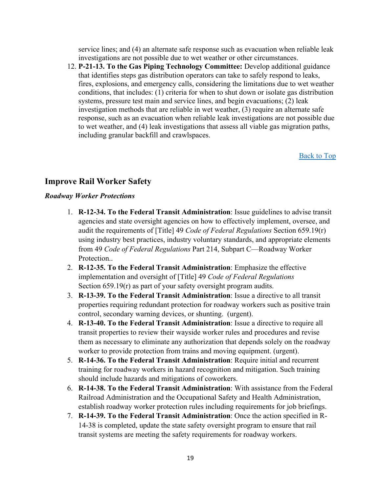service lines; and (4) an alternate safe response such as evacuation when reliable leak investigations are not possible due to wet weather or other circumstances.

12. **P-21-13. To the Gas Piping Technology Committee:** Develop additional guidance that identifies steps gas distribution operators can take to safely respond to leaks, fires, explosions, and emergency calls, considering the limitations due to wet weather conditions, that includes: (1) criteria for when to shut down or isolate gas distribution systems, pressure test main and service lines, and begin evacuations; (2) leak investigation methods that are reliable in wet weather, (3) require an alternate safe response, such as an evacuation when reliable leak investigations are not possible due to wet weather, and (4) leak investigations that assess all viable gas migration paths, including granular backfill and crawlspaces.

[Back to Top](#page-0-0)

#### <span id="page-18-0"></span>**Improve Rail Worker Safety**

#### *Roadway Worker Protections*

- 1. **R-12-34. To the Federal Transit Administration**: Issue guidelines to advise transit agencies and state oversight agencies on how to effectively implement, oversee, and audit the requirements of [Title] 49 *Code of Federal Regulations* Section 659.19(r) using industry best practices, industry voluntary standards, and appropriate elements from 49 *Code of Federal Regulations* Part 214, Subpart C—Roadway Worker Protection..
- 2. **R-12-35. To the Federal Transit Administration**: Emphasize the effective implementation and oversight of [Title] 49 *Code of Federal Regulations* Section 659.19(r) as part of your safety oversight program audits.
- 3. **R-13-39. To the Federal Transit Administration**: Issue a directive to all transit properties requiring redundant protection for roadway workers such as positive train control, secondary warning devices, or shunting. (urgent).
- 4. **R-13-40. To the Federal Transit Administration**: Issue a directive to require all transit properties to review their wayside worker rules and procedures and revise them as necessary to eliminate any authorization that depends solely on the roadway worker to provide protection from trains and moving equipment. (urgent).
- 5. **R-14-36. To the Federal Transit Administration**: Require initial and recurrent training for roadway workers in hazard recognition and mitigation. Such training should include hazards and mitigations of coworkers.
- 6. **R-14-38. To the Federal Transit Administration**: With assistance from the Federal Railroad Administration and the Occupational Safety and Health Administration, establish roadway worker protection rules including requirements for job briefings.
- 7. **R-14-39. To the Federal Transit Administration**: Once the action specified in R-14-38 is completed, update the state safety oversight program to ensure that rail transit systems are meeting the safety requirements for roadway workers.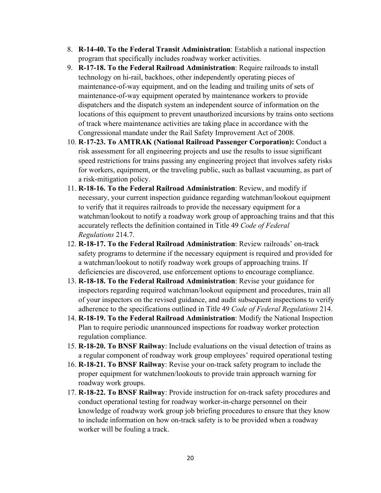- 8. **R-14-40. To the Federal Transit Administration**: Establish a national inspection program that specifically includes roadway worker activities.
- 9. **R-17-18. To the Federal Railroad Administration**: Require railroads to install technology on hi-rail, backhoes, other independently operating pieces of maintenance-of-way equipment, and on the leading and trailing units of sets of maintenance-of-way equipment operated by maintenance workers to provide dispatchers and the dispatch system an independent source of information on the locations of this equipment to prevent unauthorized incursions by trains onto sections of track where maintenance activities are taking place in accordance with the Congressional mandate under the Rail Safety Improvement Act of 2008.
- 10. **R**-**17-23. To AMTRAK (National Railroad Passenger Corporation):** Conduct a risk assessment for all engineering projects and use the results to issue significant speed restrictions for trains passing any engineering project that involves safety risks for workers, equipment, or the traveling public, such as ballast vacuuming, as part of a risk-mitigation policy.
- 11. **R-18-16. To the Federal Railroad Administration**: Review, and modify if necessary, your current inspection guidance regarding watchman/lookout equipment to verify that it requires railroads to provide the necessary equipment for a watchman/lookout to notify a roadway work group of approaching trains and that this accurately reflects the definition contained in Title 49 *Code of Federal Regulations* 214.7.
- 12. **R-18-17. To the Federal Railroad Administration**: Review railroads' on-track safety programs to determine if the necessary equipment is required and provided for a watchman/lookout to notify roadway work groups of approaching trains. If deficiencies are discovered, use enforcement options to encourage compliance.
- 13. **R-18-18. To the Federal Railroad Administration**: Revise your guidance for inspectors regarding required watchman/lookout equipment and procedures, train all of your inspectors on the revised guidance, and audit subsequent inspections to verify adherence to the specifications outlined in Title 49 *Code of Federal Regulations* 214.
- 14. **R-18-19. To the Federal Railroad Administration**: Modify the National Inspection Plan to require periodic unannounced inspections for roadway worker protection regulation compliance.
- 15. **R-18-20. To BNSF Railway**: Include evaluations on the visual detection of trains as a regular component of roadway work group employees' required operational testing
- 16. **R-18-21. To BNSF Railway**: Revise your on-track safety program to include the proper equipment for watchmen/lookouts to provide train approach warning for roadway work groups.
- 17. **R-18-22. To BNSF Railway**: Provide instruction for on-track safety procedures and conduct operational testing for roadway worker-in-charge personnel on their knowledge of roadway work group job briefing procedures to ensure that they know to include information on how on-track safety is to be provided when a roadway worker will be fouling a track.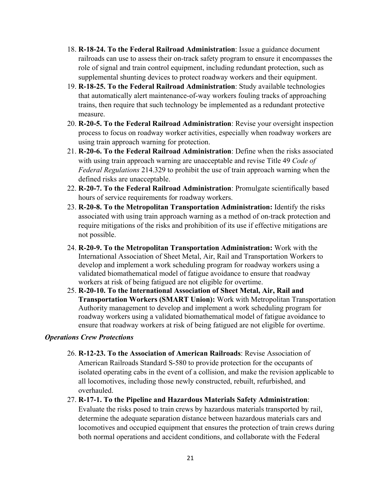- 18. **R-18-24. To the Federal Railroad Administration**: Issue a guidance document railroads can use to assess their on-track safety program to ensure it encompasses the role of signal and train control equipment, including redundant protection, such as supplemental shunting devices to protect roadway workers and their equipment.
- 19. **R-18-25. To the Federal Railroad Administration**: Study available technologies that automatically alert maintenance-of-way workers fouling tracks of approaching trains, then require that such technology be implemented as a redundant protective measure.
- 20. **R-20-5. To the Federal Railroad Administration**: Revise your oversight inspection process to focus on roadway worker activities, especially when roadway workers are using train approach warning for protection.
- 21. **R-20-6. To the Federal Railroad Administration**: Define when the risks associated with using train approach warning are unacceptable and revise Title 49 *Code of Federal Regulations* 214.329 to prohibit the use of train approach warning when the defined risks are unacceptable.
- 22. **R-20-7. To the Federal Railroad Administration**: Promulgate scientifically based hours of service requirements for roadway workers.
- 23. **R-20-8. To the Metropolitan Transportation Administration:** Identify the risks associated with using train approach warning as a method of on-track protection and require mitigations of the risks and prohibition of its use if effective mitigations are not possible.
- 24. **R-20-9. To the Metropolitan Transportation Administration:** Work with the International Association of Sheet Metal, Air, Rail and Transportation Workers to develop and implement a work scheduling program for roadway workers using a validated biomathematical model of fatigue avoidance to ensure that roadway workers at risk of being fatigued are not eligible for overtime.
- 25. **R-20-10. To the International Association of Sheet Metal, Air, Rail and Transportation Workers (SMART Union):** Work with Metropolitan Transportation Authority management to develop and implement a work scheduling program for roadway workers using a validated biomathematical model of fatigue avoidance to ensure that roadway workers at risk of being fatigued are not eligible for overtime.

#### *Operations Crew Protections*

- 26. **R-12-23. To the Association of American Railroads**: Revise Association of American Railroads Standard S-580 to provide protection for the occupants of isolated operating cabs in the event of a collision, and make the revision applicable to all locomotives, including those newly constructed, rebuilt, refurbished, and overhauled.
- 27. **R-17-1. To the Pipeline and Hazardous Materials Safety Administration**: Evaluate the risks posed to train crews by hazardous materials transported by rail, determine the adequate separation distance between hazardous materials cars and locomotives and occupied equipment that ensures the protection of train crews during both normal operations and accident conditions, and collaborate with the Federal